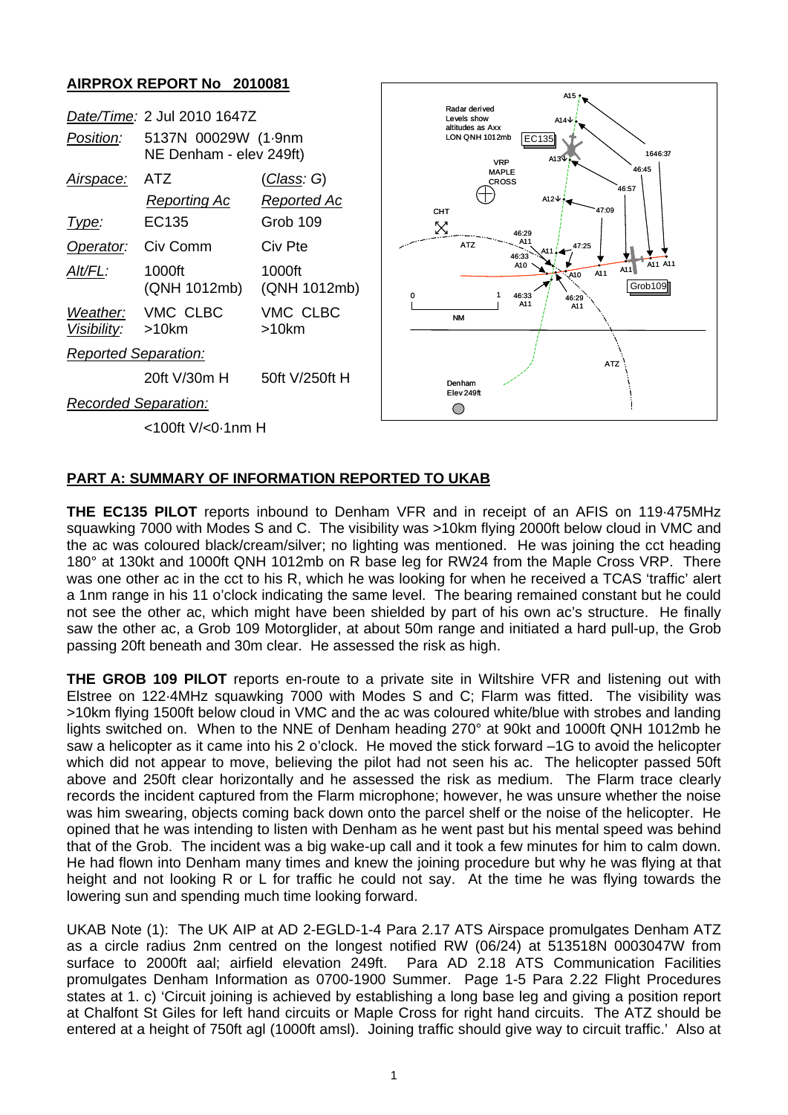## **AIRPROX REPORT No 2010081**

|                             | Date/Time: 2 Jul 2010 1647Z                    |                        |
|-----------------------------|------------------------------------------------|------------------------|
| <i>Position:</i>            | 5137N 00029W (1.9nm<br>NE Denham - elev 249ft) |                        |
| Airspace:                   | ATZ                                            | <u>(Class</u> : G)     |
|                             | Reporting Ac                                   | Reported Ac            |
| Type:                       | EC135                                          | Grob 109               |
| Operator: Civ Comm          |                                                | Civ Pte                |
| AIt/FL:                     | 1000ft<br>(QNH 1012mb)                         | 1000ft<br>(QNH 1012mb) |
| Visibility: >10km           | Weather: VMC CLBC                              | VMC CLBC<br>>10km      |
| <b>Reported Separation:</b> |                                                |                        |
|                             | 20ft V/30m H                                   | 50ft V/250ft H         |
| <b>Recorded Separation:</b> |                                                |                        |



<100ft V/<0·1nm H

## **PART A: SUMMARY OF INFORMATION REPORTED TO UKAB**

**THE EC135 PILOT** reports inbound to Denham VFR and in receipt of an AFIS on 119·475MHz squawking 7000 with Modes S and C. The visibility was >10km flying 2000ft below cloud in VMC and the ac was coloured black/cream/silver; no lighting was mentioned. He was joining the cct heading 180° at 130kt and 1000ft QNH 1012mb on R base leg for RW24 from the Maple Cross VRP. There was one other ac in the cct to his R, which he was looking for when he received a TCAS 'traffic' alert a 1nm range in his 11 o'clock indicating the same level. The bearing remained constant but he could not see the other ac, which might have been shielded by part of his own ac's structure. He finally saw the other ac, a Grob 109 Motorglider, at about 50m range and initiated a hard pull-up, the Grob passing 20ft beneath and 30m clear. He assessed the risk as high.

**THE GROB 109 PILOT** reports en-route to a private site in Wiltshire VFR and listening out with Elstree on 122·4MHz squawking 7000 with Modes S and C; Flarm was fitted. The visibility was >10km flying 1500ft below cloud in VMC and the ac was coloured white/blue with strobes and landing lights switched on. When to the NNE of Denham heading 270° at 90kt and 1000ft QNH 1012mb he saw a helicopter as it came into his 2 o'clock. He moved the stick forward –1G to avoid the helicopter which did not appear to move, believing the pilot had not seen his ac. The helicopter passed 50ft above and 250ft clear horizontally and he assessed the risk as medium. The Flarm trace clearly records the incident captured from the Flarm microphone; however, he was unsure whether the noise was him swearing, objects coming back down onto the parcel shelf or the noise of the helicopter. He opined that he was intending to listen with Denham as he went past but his mental speed was behind that of the Grob. The incident was a big wake-up call and it took a few minutes for him to calm down. He had flown into Denham many times and knew the joining procedure but why he was flying at that height and not looking R or L for traffic he could not say. At the time he was flying towards the lowering sun and spending much time looking forward.

UKAB Note (1): The UK AIP at AD 2-EGLD-1-4 Para 2.17 ATS Airspace promulgates Denham ATZ as a circle radius 2nm centred on the longest notified RW (06/24) at 513518N 0003047W from surface to 2000ft aal; airfield elevation 249ft. Para AD 2.18 ATS Communication Facilities promulgates Denham Information as 0700-1900 Summer. Page 1-5 Para 2.22 Flight Procedures states at 1. c) 'Circuit joining is achieved by establishing a long base leg and giving a position report at Chalfont St Giles for left hand circuits or Maple Cross for right hand circuits. The ATZ should be entered at a height of 750ft agl (1000ft amsl). Joining traffic should give way to circuit traffic.' Also at